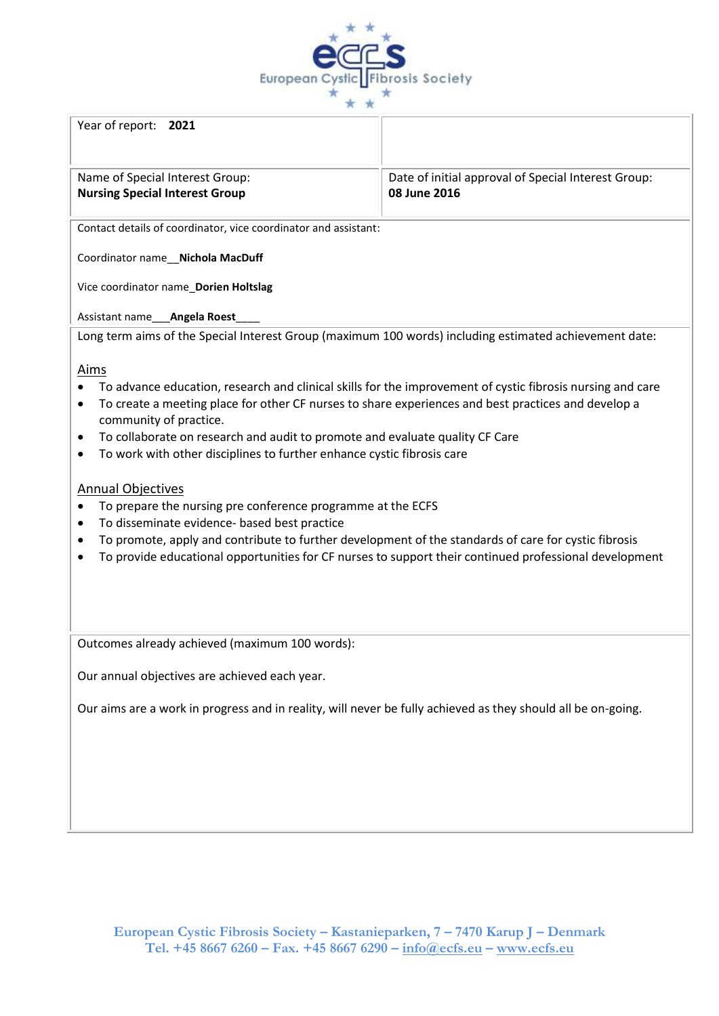

## Year of report: **2021**

Name of Special Interest Group: **Nursing Special Interest Group**

Date of initial approval of Special Interest Group: **08 June 2016**

Contact details of coordinator, vice coordinator and assistant:

Coordinator name\_\_**Nichola MacDuff**

Vice coordinator name\_**Dorien Holtslag**

Assistant name\_\_\_**Angela Roest**\_\_\_\_

Long term aims of the Special Interest Group (maximum 100 words) including estimated achievement date:

## Aims

- To advance education, research and clinical skills for the improvement of cystic fibrosis nursing and care
- To create a meeting place for other CF nurses to share experiences and best practices and develop a community of practice.
- To collaborate on research and audit to promote and evaluate quality CF Care
- To work with other disciplines to further enhance cystic fibrosis care

## Annual Objectives

- To prepare the nursing pre conference programme at the ECFS
- To disseminate evidence- based best practice
- To promote, apply and contribute to further development of the standards of care for cystic fibrosis
- To provide educational opportunities for CF nurses to support their continued professional development

Outcomes already achieved (maximum 100 words):

Our annual objectives are achieved each year.

Our aims are a work in progress and in reality, will never be fully achieved as they should all be on-going.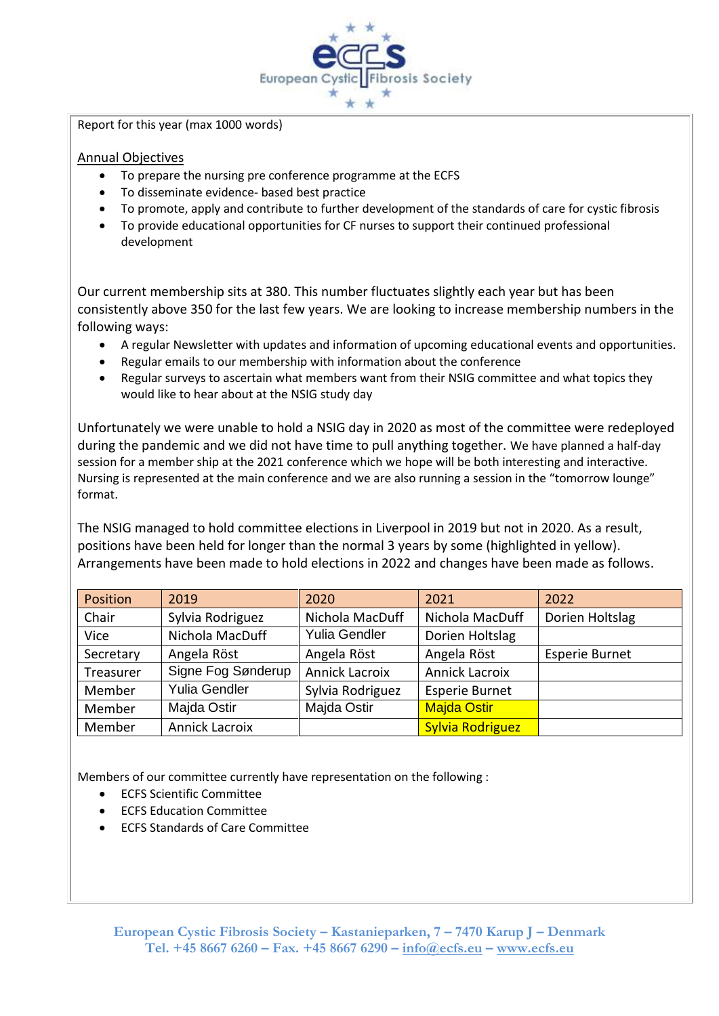

Report for this year (max 1000 words)

## Annual Objectives

- To prepare the nursing pre conference programme at the ECFS
- To disseminate evidence- based best practice
- To promote, apply and contribute to further development of the standards of care for cystic fibrosis
- To provide educational opportunities for CF nurses to support their continued professional development

Our current membership sits at 380. This number fluctuates slightly each year but has been consistently above 350 for the last few years. We are looking to increase membership numbers in the following ways:

- A regular Newsletter with updates and information of upcoming educational events and opportunities.
- Regular emails to our membership with information about the conference
- Regular surveys to ascertain what members want from their NSIG committee and what topics they would like to hear about at the NSIG study day

Unfortunately we were unable to hold a NSIG day in 2020 as most of the committee were redeployed during the pandemic and we did not have time to pull anything together. We have planned a half-day session for a member ship at the 2021 conference which we hope will be both interesting and interactive. Nursing is represented at the main conference and we are also running a session in the "tomorrow lounge" format.

The NSIG managed to hold committee elections in Liverpool in 2019 but not in 2020. As a result, positions have been held for longer than the normal 3 years by some (highlighted in yellow). Arrangements have been made to hold elections in 2022 and changes have been made as follows.

| Position  | 2019                  | 2020                  | 2021                    | 2022                  |
|-----------|-----------------------|-----------------------|-------------------------|-----------------------|
| Chair     | Sylvia Rodriguez      | Nichola MacDuff       | Nichola MacDuff         | Dorien Holtslag       |
| Vice      | Nichola MacDuff       | <b>Yulia Gendler</b>  | Dorien Holtslag         |                       |
| Secretary | Angela Röst           | Angela Röst           | Angela Röst             | <b>Esperie Burnet</b> |
| Treasurer | Signe Fog Sønderup    | <b>Annick Lacroix</b> | <b>Annick Lacroix</b>   |                       |
| Member    | <b>Yulia Gendler</b>  | Sylvia Rodriguez      | <b>Esperie Burnet</b>   |                       |
| Member    | Majda Ostir           | Majda Ostir           | <b>Majda Ostir</b>      |                       |
| Member    | <b>Annick Lacroix</b> |                       | <b>Sylvia Rodriguez</b> |                       |

Members of our committee currently have representation on the following :

- ECFS Scientific Committee
- ECFS Education Committee
- ECFS Standards of Care Committee